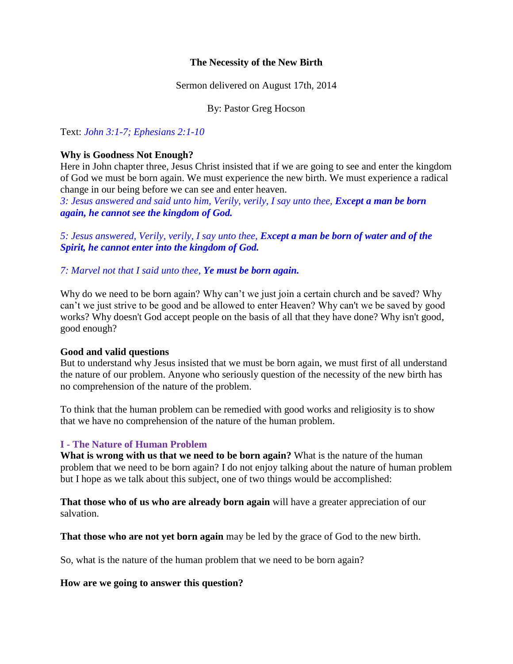## **The Necessity of the New Birth**

Sermon delivered on August 17th, 2014

By: Pastor Greg Hocson

Text: *John 3:1-7; Ephesians 2:1-10*

### **Why is Goodness Not Enough?**

Here in John chapter three, Jesus Christ insisted that if we are going to see and enter the kingdom of God we must be born again. We must experience the new birth. We must experience a radical change in our being before we can see and enter heaven.

3: Jesus answered and said unto him, Verily, verily, I say unto thee, *Except a man be born again, he cannot see the kingdom of God.*

*5: Jesus answered, Verily, verily, I say unto thee, Except a man be born of water and of the Spirit, he cannot enter into the kingdom of God.*

*7: Marvel not that I said unto thee, Ye must be born again.*

Why do we need to be born again? Why can't we just join a certain church and be saved? Why can't we just strive to be good and be allowed to enter Heaven? Why can't we be saved by good works? Why doesn't God accept people on the basis of all that they have done? Why isn't good, good enough?

#### **Good and valid questions**

But to understand why Jesus insisted that we must be born again, we must first of all understand the nature of our problem. Anyone who seriously question of the necessity of the new birth has no comprehension of the nature of the problem.

To think that the human problem can be remedied with good works and religiosity is to show that we have no comprehension of the nature of the human problem.

## **I - The Nature of Human Problem**

**What is wrong with us that we need to be born again?** What is the nature of the human problem that we need to be born again? I do not enjoy talking about the nature of human problem but I hope as we talk about this subject, one of two things would be accomplished:

**That those who of us who are already born again** will have a greater appreciation of our salvation.

**That those who are not yet born again** may be led by the grace of God to the new birth.

So, what is the nature of the human problem that we need to be born again?

#### **How are we going to answer this question?**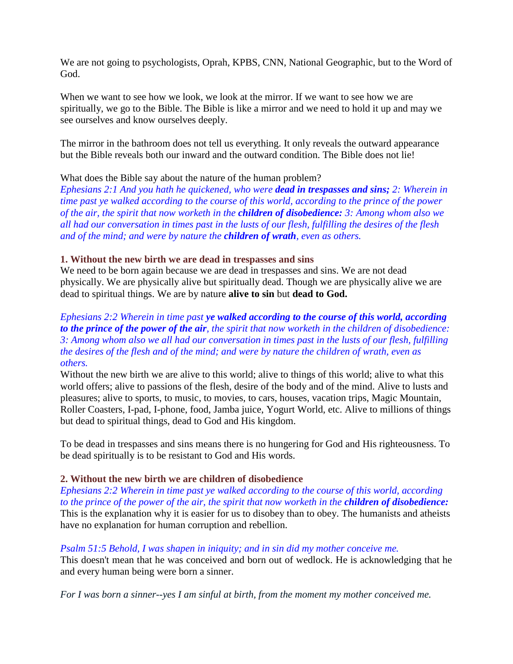We are not going to psychologists, Oprah, KPBS, CNN, National Geographic, but to the Word of God.

When we want to see how we look, we look at the mirror. If we want to see how we are spiritually, we go to the Bible. The Bible is like a mirror and we need to hold it up and may we see ourselves and know ourselves deeply.

The mirror in the bathroom does not tell us everything. It only reveals the outward appearance but the Bible reveals both our inward and the outward condition. The Bible does not lie!

## What does the Bible say about the nature of the human problem?

*Ephesians 2:1 And you hath he quickened, who were dead in trespasses and sins; 2: Wherein in time past ye walked according to the course of this world, according to the prince of the power of the air, the spirit that now worketh in the children of disobedience: 3: Among whom also we all had our conversation in times past in the lusts of our flesh, fulfilling the desires of the flesh and of the mind; and were by nature the children of wrath, even as others.*

## **1. Without the new birth we are dead in trespasses and sins**

We need to be born again because we are dead in trespasses and sins. We are not dead physically. We are physically alive but spiritually dead. Though we are physically alive we are dead to spiritual things. We are by nature **alive to sin** but **dead to God.**

## *Ephesians 2:2 Wherein in time past ye walked according to the course of this world, according to the prince of the power of the air, the spirit that now worketh in the children of disobedience: 3: Among whom also we all had our conversation in times past in the lusts of our flesh, fulfilling the desires of the flesh and of the mind; and were by nature the children of wrath, even as others.*

Without the new birth we are alive to this world; alive to things of this world; alive to what this world offers; alive to passions of the flesh, desire of the body and of the mind. Alive to lusts and pleasures; alive to sports, to music, to movies, to cars, houses, vacation trips, Magic Mountain, Roller Coasters, I-pad, I-phone, food, Jamba juice, Yogurt World, etc. Alive to millions of things but dead to spiritual things, dead to God and His kingdom.

To be dead in trespasses and sins means there is no hungering for God and His righteousness. To be dead spiritually is to be resistant to God and His words.

# **2. Without the new birth we are children of disobedience**

*Ephesians 2:2 Wherein in time past ye walked according to the course of this world, according to the prince of the power of the air, the spirit that now worketh in the children of disobedience:* This is the explanation why it is easier for us to disobey than to obey. The humanists and atheists have no explanation for human corruption and rebellion.

## *Psalm 51:5 Behold, I was shapen in iniquity; and in sin did my mother conceive me.* This doesn't mean that he was conceived and born out of wedlock. He is acknowledging that he and every human being were born a sinner.

*For I was born a sinner--yes I am sinful at birth, from the moment my mother conceived me.*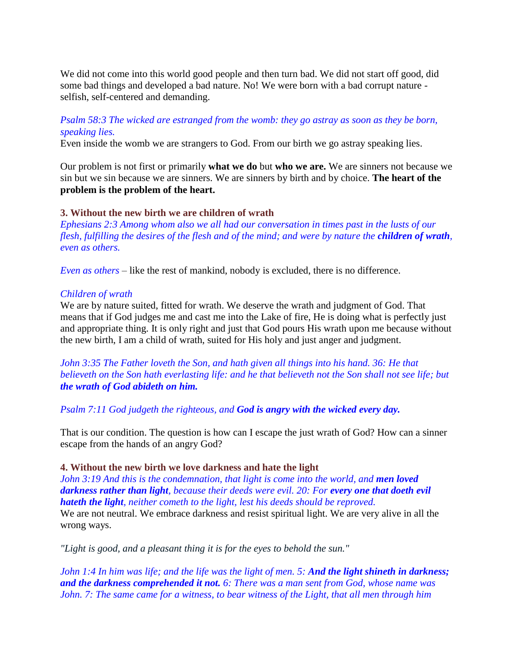We did not come into this world good people and then turn bad. We did not start off good, did some bad things and developed a bad nature. No! We were born with a bad corrupt nature selfish, self-centered and demanding.

# *Psalm 58:3 The wicked are estranged from the womb: they go astray as soon as they be born, speaking lies.*

Even inside the womb we are strangers to God. From our birth we go astray speaking lies.

Our problem is not first or primarily **what we do** but **who we are.** We are sinners not because we sin but we sin because we are sinners. We are sinners by birth and by choice. **The heart of the problem is the problem of the heart.**

## **3. Without the new birth we are children of wrath**

*Ephesians 2:3 Among whom also we all had our conversation in times past in the lusts of our flesh, fulfilling the desires of the flesh and of the mind; and were by nature the <i>children of wrath*, *even as others.*

*Even as others* – like the rest of mankind, nobody is excluded, there is no difference.

### *Children of wrath*

We are by nature suited, fitted for wrath. We deserve the wrath and judgment of God. That means that if God judges me and cast me into the Lake of fire, He is doing what is perfectly just and appropriate thing. It is only right and just that God pours His wrath upon me because without the new birth, I am a child of wrath, suited for His holy and just anger and judgment.

*John 3:35 The Father loveth the Son, and hath given all things into his hand. 36: He that believeth on the Son hath everlasting life: and he that believeth not the Son shall not see life; but the wrath of God abideth on him.*

*Psalm 7:11 God judgeth the righteous, and God is angry with the wicked every day.*

That is our condition. The question is how can I escape the just wrath of God? How can a sinner escape from the hands of an angry God?

## **4. Without the new birth we love darkness and hate the light**

*John 3:19 And this is the condemnation, that light is come into the world, and men loved darkness rather than light, because their deeds were evil. 20: For every one that doeth evil hateth the light, neither cometh to the light, lest his deeds should be reproved.*

We are not neutral. We embrace darkness and resist spiritual light. We are very alive in all the wrong ways.

*"Light is good, and a pleasant thing it is for the eyes to behold the sun."*

*John 1:4 In him was life; and the life was the light of men. 5: And the light shineth in darkness; and the darkness comprehended it not. 6: There was a man sent from God, whose name was John. 7: The same came for a witness, to bear witness of the Light, that all men through him*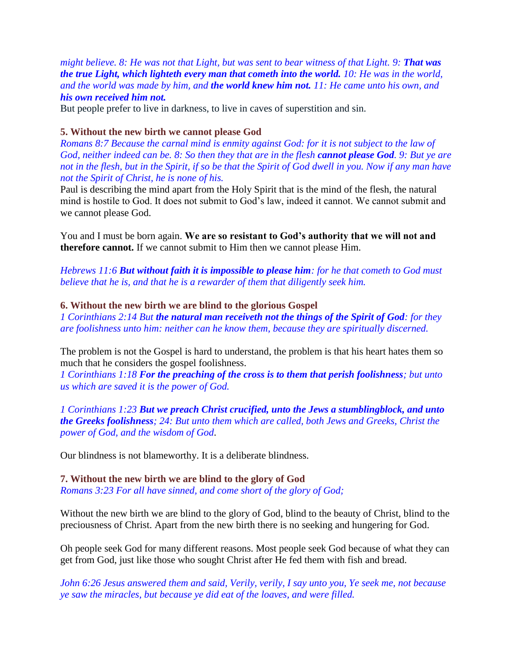*might believe. 8: He was not that Light, but was sent to bear witness of that Light. 9: That was the true Light, which lighteth every man that cometh into the world. 10: He was in the world, and the world was made by him, and the world knew him not. 11: He came unto his own, and his own received him not.*

But people prefer to live in darkness, to live in caves of superstition and sin.

#### **5. Without the new birth we cannot please God**

*Romans 8:7 Because the carnal mind is enmity against God: for it is not subject to the law of God, neither indeed can be. 8: So then they that are in the flesh cannot please God. 9: But ye are not in the flesh, but in the Spirit, if so be that the Spirit of God dwell in you. Now if any man have not the Spirit of Christ, he is none of his.*

Paul is describing the mind apart from the Holy Spirit that is the mind of the flesh, the natural mind is hostile to God. It does not submit to God's law, indeed it cannot. We cannot submit and we cannot please God.

You and I must be born again. **We are so resistant to God's authority that we will not and therefore cannot.** If we cannot submit to Him then we cannot please Him.

*Hebrews 11:6 But without faith it is impossible to please him: for he that cometh to God must believe that he is, and that he is a rewarder of them that diligently seek him.*

#### **6. Without the new birth we are blind to the glorious Gospel**

*1 Corinthians 2:14 But the natural man receiveth not the things of the Spirit of God: for they are foolishness unto him: neither can he know them, because they are spiritually discerned.*

The problem is not the Gospel is hard to understand, the problem is that his heart hates them so much that he considers the gospel foolishness.

*1 Corinthians 1:18 For the preaching of the cross is to them that perish foolishness; but unto us which are saved it is the power of God.*

*1 Corinthians 1:23 But we preach Christ crucified, unto the Jews a stumblingblock, and unto the Greeks foolishness; 24: But unto them which are called, both Jews and Greeks, Christ the power of God, and the wisdom of God*.

Our blindness is not blameworthy. It is a deliberate blindness.

### **7. Without the new birth we are blind to the glory of God** *Romans 3:23 For all have sinned, and come short of the glory of God;*

Without the new birth we are blind to the glory of God, blind to the beauty of Christ, blind to the preciousness of Christ. Apart from the new birth there is no seeking and hungering for God.

Oh people seek God for many different reasons. Most people seek God because of what they can get from God, just like those who sought Christ after He fed them with fish and bread.

*John 6:26 Jesus answered them and said, Verily, verily, I say unto you, Ye seek me, not because ye saw the miracles, but because ye did eat of the loaves, and were filled.*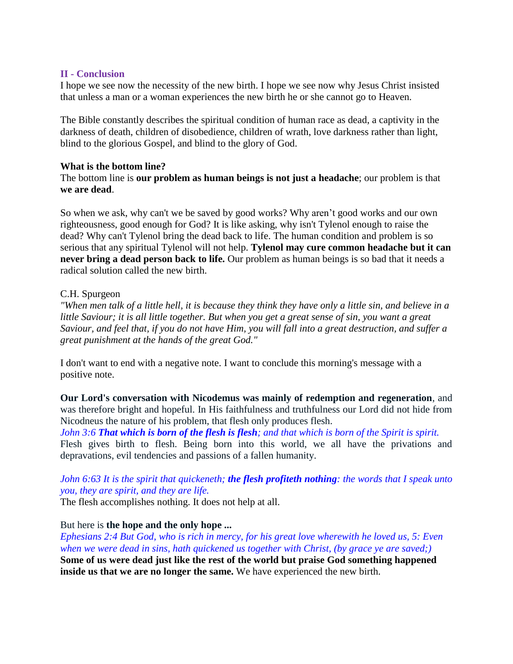## **II - Conclusion**

I hope we see now the necessity of the new birth. I hope we see now why Jesus Christ insisted that unless a man or a woman experiences the new birth he or she cannot go to Heaven.

The Bible constantly describes the spiritual condition of human race as dead, a captivity in the darkness of death, children of disobedience, children of wrath, love darkness rather than light, blind to the glorious Gospel, and blind to the glory of God.

### **What is the bottom line?**

The bottom line is **our problem as human beings is not just a headache**; our problem is that **we are dead**.

So when we ask, why can't we be saved by good works? Why aren't good works and our own righteousness, good enough for God? It is like asking, why isn't Tylenol enough to raise the dead? Why can't Tylenol bring the dead back to life. The human condition and problem is so serious that any spiritual Tylenol will not help. **Tylenol may cure common headache but it can never bring a dead person back to life.** Our problem as human beings is so bad that it needs a radical solution called the new birth.

## C.H. Spurgeon

*"When men talk of a little hell, it is because they think they have only a little sin, and believe in a little Saviour; it is all little together. But when you get a great sense of sin, you want a great Saviour, and feel that, if you do not have Him, you will fall into a great destruction, and suffer a great punishment at the hands of the great God."*

I don't want to end with a negative note. I want to conclude this morning's message with a positive note.

**Our Lord's conversation with Nicodemus was mainly of redemption and regeneration**, and was therefore bright and hopeful. In His faithfulness and truthfulness our Lord did not hide from Nicodneus the nature of his problem, that flesh only produces flesh.

*John 3:6 That which is born of the flesh is flesh; and that which is born of the Spirit is spirit.* Flesh gives birth to flesh. Being born into this world, we all have the privations and depravations, evil tendencies and passions of a fallen humanity.

# *John 6:63 It is the spirit that quickeneth; the flesh profiteth nothing: the words that I speak unto you, they are spirit, and they are life.*

The flesh accomplishes nothing. It does not help at all.

## But here is **the hope and the only hope ...**

*Ephesians 2:4 But God, who is rich in mercy, for his great love wherewith he loved us, 5: Even when we were dead in sins, hath quickened us together with Christ, (by grace ye are saved;)* **Some of us were dead just like the rest of the world but praise God something happened inside us that we are no longer the same.** We have experienced the new birth.